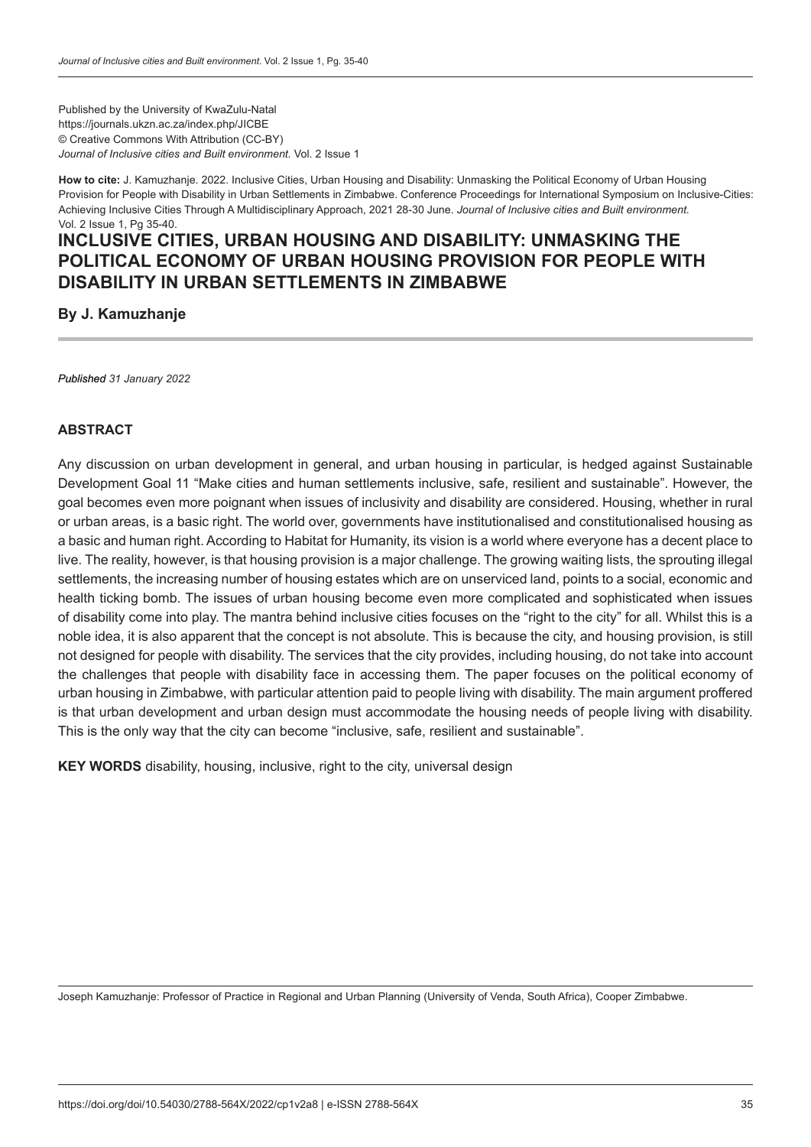Published by the University of KwaZulu-Natal https://journals.ukzn.ac.za/index.php/JICBE © Creative Commons With Attribution (CC-BY) *Journal of Inclusive cities and Built environment.* Vol. 2 Issue 1

**How to cite:** J. Kamuzhanje. 2022. Inclusive Cities, Urban Housing and Disability: Unmasking the Political Economy of Urban Housing Provision for People with Disability in Urban Settlements in Zimbabwe. Conference Proceedings for International Symposium on Inclusive-Cities: Achieving Inclusive Cities Through A Multidisciplinary Approach, 2021 28-30 June. *Journal of Inclusive cities and Built environment.*  Vol. 2 Issue 1, Pg 35-40.

# **INCLUSIVE CITIES, URBAN HOUSING AND DISABILITY: UNMASKING THE POLITICAL ECONOMY OF URBAN HOUSING PROVISION FOR PEOPLE WITH DISABILITY IN URBAN SETTLEMENTS IN ZIMBABWE**

**By J. Kamuzhanje**

*Published 31 January 2022*

#### **ABSTRACT**

Any discussion on urban development in general, and urban housing in particular, is hedged against Sustainable Development Goal 11 "Make cities and human settlements inclusive, safe, resilient and sustainable". However, the goal becomes even more poignant when issues of inclusivity and disability are considered. Housing, whether in rural or urban areas, is a basic right. The world over, governments have institutionalised and constitutionalised housing as a basic and human right. According to Habitat for Humanity, its vision is a world where everyone has a decent place to live. The reality, however, is that housing provision is a major challenge. The growing waiting lists, the sprouting illegal settlements, the increasing number of housing estates which are on unserviced land, points to a social, economic and health ticking bomb. The issues of urban housing become even more complicated and sophisticated when issues of disability come into play. The mantra behind inclusive cities focuses on the "right to the city" for all. Whilst this is a noble idea, it is also apparent that the concept is not absolute. This is because the city, and housing provision, is still not designed for people with disability. The services that the city provides, including housing, do not take into account the challenges that people with disability face in accessing them. The paper focuses on the political economy of urban housing in Zimbabwe, with particular attention paid to people living with disability. The main argument proffered is that urban development and urban design must accommodate the housing needs of people living with disability. This is the only way that the city can become "inclusive, safe, resilient and sustainable".

**KEY WORDS** disability, housing, inclusive, right to the city, universal design

Joseph Kamuzhanje: Professor of Practice in Regional and Urban Planning (University of Venda, South Africa), Cooper Zimbabwe.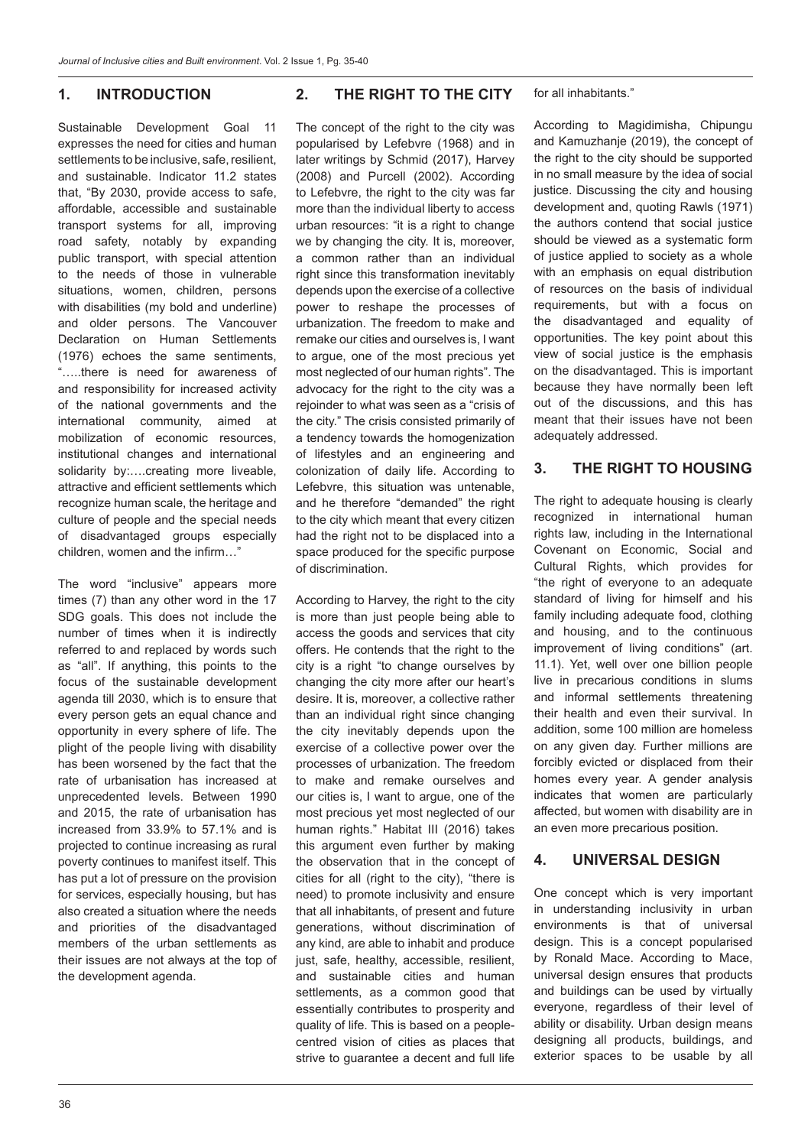#### **1. INTRODUCTION**

Sustainable Development Goal 11 expresses the need for cities and human settlements to be inclusive, safe, resilient, and sustainable. Indicator 11.2 states that, "By 2030, provide access to safe, affordable, accessible and sustainable transport systems for all, improving road safety, notably by expanding public transport, with special attention to the needs of those in vulnerable situations, women, children, persons with disabilities (my bold and underline) and older persons. The Vancouver Declaration on Human Settlements (1976) echoes the same sentiments, "…..there is need for awareness of and responsibility for increased activity of the national governments and the international community, aimed at mobilization of economic resources, institutional changes and international solidarity by:….creating more liveable, attractive and efficient settlements which recognize human scale, the heritage and culture of people and the special needs of disadvantaged groups especially children, women and the infirm…"

The word "inclusive" appears more times (7) than any other word in the 17 SDG goals. This does not include the number of times when it is indirectly referred to and replaced by words such as "all". If anything, this points to the focus of the sustainable development agenda till 2030, which is to ensure that every person gets an equal chance and opportunity in every sphere of life. The plight of the people living with disability has been worsened by the fact that the rate of urbanisation has increased at unprecedented levels. Between 1990 and 2015, the rate of urbanisation has increased from 33.9% to 57.1% and is projected to continue increasing as rural poverty continues to manifest itself. This has put a lot of pressure on the provision for services, especially housing, but has also created a situation where the needs and priorities of the disadvantaged members of the urban settlements as their issues are not always at the top of the development agenda.

#### **2. THE RIGHT TO THE CITY**

The concept of the right to the city was popularised by Lefebvre (1968) and in later writings by Schmid (2017), Harvey (2008) and Purcell (2002). According to Lefebvre, the right to the city was far more than the individual liberty to access urban resources: "it is a right to change we by changing the city. It is, moreover, a common rather than an individual right since this transformation inevitably depends upon the exercise of a collective power to reshape the processes of urbanization. The freedom to make and remake our cities and ourselves is, I want to argue, one of the most precious yet most neglected of our human rights". The advocacy for the right to the city was a rejoinder to what was seen as a "crisis of the city." The crisis consisted primarily of a tendency towards the homogenization of lifestyles and an engineering and colonization of daily life. According to Lefebvre, this situation was untenable, and he therefore "demanded" the right to the city which meant that every citizen had the right not to be displaced into a space produced for the specific purpose of discrimination.

According to Harvey, the right to the city is more than just people being able to access the goods and services that city offers. He contends that the right to the city is a right "to change ourselves by changing the city more after our heart's desire. It is, moreover, a collective rather than an individual right since changing the city inevitably depends upon the exercise of a collective power over the processes of urbanization. The freedom to make and remake ourselves and our cities is, I want to argue, one of the most precious yet most neglected of our human rights." Habitat III (2016) takes this argument even further by making the observation that in the concept of cities for all (right to the city), "there is need) to promote inclusivity and ensure that all inhabitants, of present and future generations, without discrimination of any kind, are able to inhabit and produce just, safe, healthy, accessible, resilient, and sustainable cities and human settlements, as a common good that essentially contributes to prosperity and quality of life. This is based on a peoplecentred vision of cities as places that strive to quarantee a decent and full life for all inhabitants."

According to Magidimisha, Chipungu and Kamuzhanje (2019), the concept of the right to the city should be supported in no small measure by the idea of social justice. Discussing the city and housing development and, quoting Rawls (1971) the authors contend that social justice should be viewed as a systematic form of justice applied to society as a whole with an emphasis on equal distribution of resources on the basis of individual requirements, but with a focus on the disadvantaged and equality of opportunities. The key point about this view of social justice is the emphasis on the disadvantaged. This is important because they have normally been left out of the discussions, and this has meant that their issues have not been adequately addressed.

#### **3. THE RIGHT TO HOUSING**

The right to adequate housing is clearly recognized in international human rights law, including in the International Covenant on Economic, Social and Cultural Rights, which provides for "the right of everyone to an adequate standard of living for himself and his family including adequate food, clothing and housing, and to the continuous improvement of living conditions" (art. 11.1). Yet, well over one billion people live in precarious conditions in slums and informal settlements threatening their health and even their survival. In addition, some 100 million are homeless on any given day. Further millions are forcibly evicted or displaced from their homes every year. A gender analysis indicates that women are particularly affected, but women with disability are in an even more precarious position.

#### **4. UNIVERSAL DESIGN**

One concept which is very important in understanding inclusivity in urban environments is that of universal design. This is a concept popularised by Ronald Mace. According to Mace, universal design ensures that products and buildings can be used by virtually everyone, regardless of their level of ability or disability. Urban design means designing all products, buildings, and exterior spaces to be usable by all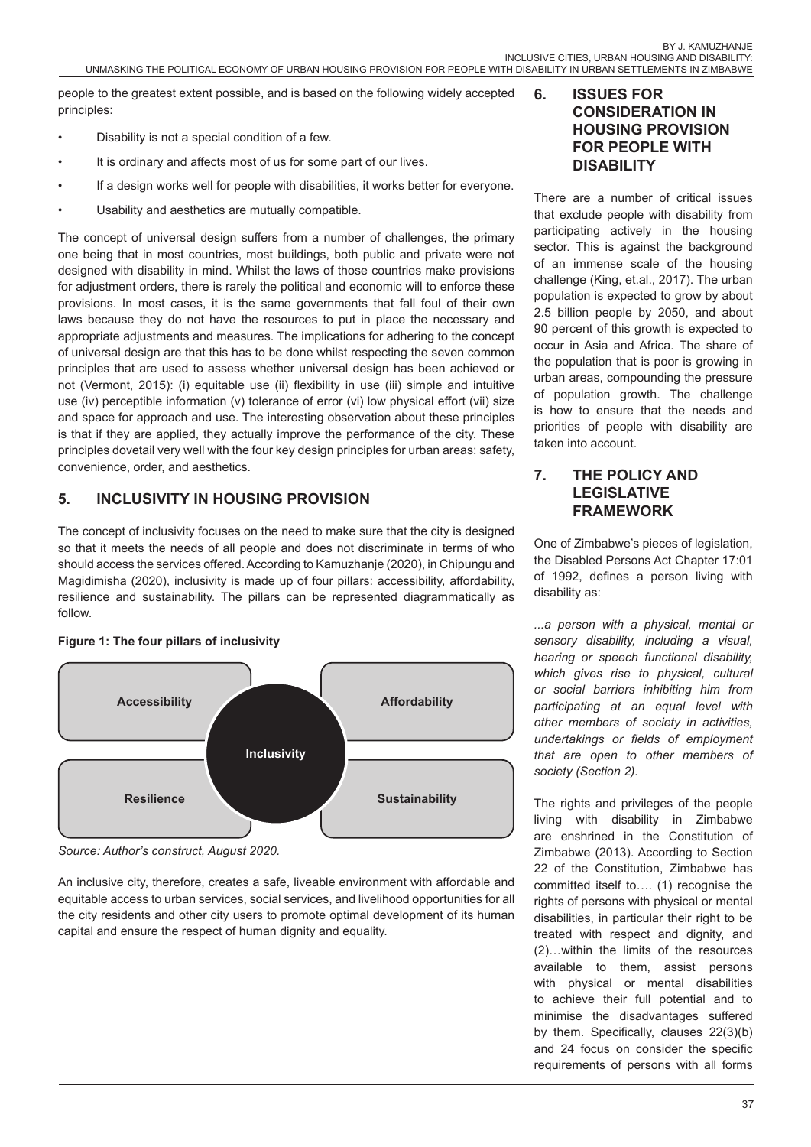people to the greatest extent possible, and is based on the following widely accepted principles:

- Disability is not a special condition of a few.
- It is ordinary and affects most of us for some part of our lives.
- If a design works well for people with disabilities, it works better for everyone.
- Usability and aesthetics are mutually compatible.

The concept of universal design suffers from a number of challenges, the primary one being that in most countries, most buildings, both public and private were not designed with disability in mind. Whilst the laws of those countries make provisions for adjustment orders, there is rarely the political and economic will to enforce these provisions. In most cases, it is the same governments that fall foul of their own laws because they do not have the resources to put in place the necessary and appropriate adjustments and measures. The implications for adhering to the concept of universal design are that this has to be done whilst respecting the seven common principles that are used to assess whether universal design has been achieved or not (Vermont, 2015): (i) equitable use (ii) flexibility in use (iii) simple and intuitive use (iv) perceptible information (v) tolerance of error (vi) low physical effort (vii) size and space for approach and use. The interesting observation about these principles is that if they are applied, they actually improve the performance of the city. These principles dovetail very well with the four key design principles for urban areas: safety, convenience, order, and aesthetics.

# **5. INCLUSIVITY IN HOUSING PROVISION**

The concept of inclusivity focuses on the need to make sure that the city is designed so that it meets the needs of all people and does not discriminate in terms of who should access the services offered. According to Kamuzhanje (2020), in Chipungu and Magidimisha (2020), inclusivity is made up of four pillars: accessibility, affordability, resilience and sustainability. The pillars can be represented diagrammatically as follow.

#### **Figure 1: The four pillars of inclusivity**



*Source: Author's construct, August 2020.*

An inclusive city, therefore, creates a safe, liveable environment with affordable and equitable access to urban services, social services, and livelihood opportunities for all the city residents and other city users to promote optimal development of its human capital and ensure the respect of human dignity and equality.

### **6. ISSUES FOR CONSIDERATION IN HOUSING PROVISION FOR PEOPLE WITH DISABILITY**

There are a number of critical issues that exclude people with disability from participating actively in the housing sector. This is against the background of an immense scale of the housing challenge (King, et.al., 2017). The urban population is expected to grow by about 2.5 billion people by 2050, and about 90 percent of this growth is expected to occur in Asia and Africa. The share of the population that is poor is growing in urban areas, compounding the pressure of population growth. The challenge is how to ensure that the needs and priorities of people with disability are taken into account.

#### **7. THE POLICY AND LEGISLATIVE FRAMEWORK**

One of Zimbabwe's pieces of legislation, the Disabled Persons Act Chapter 17:01 of 1992, defines a person living with disability as:

*...a person with a physical, mental or sensory disability, including a visual, hearing or speech functional disability, which gives rise to physical, cultural or social barriers inhibiting him from participating at an equal level with other members of society in activities, undertakings or fields of employment that are open to other members of society (Section 2).*

The rights and privileges of the people living with disability in Zimbabwe are enshrined in the Constitution of Zimbabwe (2013). According to Section 22 of the Constitution, Zimbabwe has committed itself to…. (1) recognise the rights of persons with physical or mental disabilities, in particular their right to be treated with respect and dignity, and (2)…within the limits of the resources available to them, assist persons with physical or mental disabilities to achieve their full potential and to minimise the disadvantages suffered by them. Specifically, clauses 22(3)(b) and 24 focus on consider the specific requirements of persons with all forms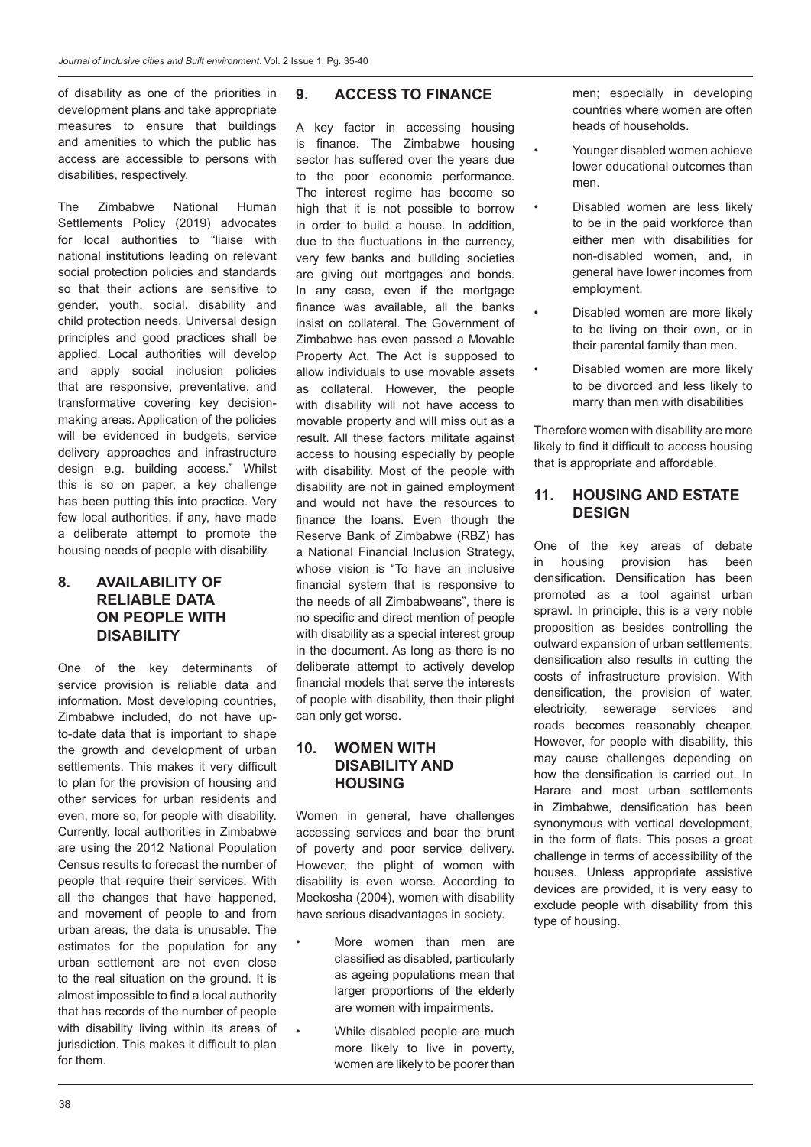of disability as one of the priorities in development plans and take appropriate measures to ensure that buildings and amenities to which the public has access are accessible to persons with disabilities, respectively.

The Zimbabwe National Human Settlements Policy (2019) advocates for local authorities to "liaise with national institutions leading on relevant social protection policies and standards so that their actions are sensitive to gender, youth, social, disability and child protection needs. Universal design principles and good practices shall be applied. Local authorities will develop and apply social inclusion policies that are responsive, preventative, and transformative covering key decisionmaking areas. Application of the policies will be evidenced in budgets, service delivery approaches and infrastructure design e.g. building access." Whilst this is so on paper, a key challenge has been putting this into practice. Very few local authorities, if any, have made a deliberate attempt to promote the housing needs of people with disability.

### **8. AVAILABILITY OF RELIABLE DATA ON PEOPLE WITH DISABILITY**

One of the key determinants of service provision is reliable data and information. Most developing countries, Zimbabwe included, do not have upto-date data that is important to shape the growth and development of urban settlements. This makes it very difficult to plan for the provision of housing and other services for urban residents and even, more so, for people with disability. Currently, local authorities in Zimbabwe are using the 2012 National Population Census results to forecast the number of people that require their services. With all the changes that have happened, and movement of people to and from urban areas, the data is unusable. The estimates for the population for any urban settlement are not even close to the real situation on the ground. It is almost impossible to find a local authority that has records of the number of people with disability living within its areas of jurisdiction. This makes it difficult to plan for them.

### **9. ACCESS TO FINANCE**

A key factor in accessing housing is finance. The Zimbabwe housing sector has suffered over the years due to the poor economic performance. The interest regime has become so high that it is not possible to borrow in order to build a house. In addition, due to the fluctuations in the currency, very few banks and building societies are giving out mortgages and bonds. In any case, even if the mortgage finance was available, all the banks insist on collateral. The Government of Zimbabwe has even passed a Movable Property Act. The Act is supposed to allow individuals to use movable assets as collateral. However, the people with disability will not have access to movable property and will miss out as a result. All these factors militate against access to housing especially by people with disability. Most of the people with disability are not in gained employment and would not have the resources to finance the loans. Even though the Reserve Bank of Zimbabwe (RBZ) has a National Financial Inclusion Strategy, whose vision is "To have an inclusive financial system that is responsive to the needs of all Zimbabweans", there is no specific and direct mention of people with disability as a special interest group in the document. As long as there is no deliberate attempt to actively develop financial models that serve the interests of people with disability, then their plight can only get worse.

#### **10. WOMEN WITH DISABILITY AND HOUSING**

Women in general, have challenges accessing services and bear the brunt of poverty and poor service delivery. However, the plight of women with disability is even worse. According to Meekosha (2004), women with disability have serious disadvantages in society.

- More women than men are classified as disabled, particularly as ageing populations mean that larger proportions of the elderly are women with impairments.
- While disabled people are much more likely to live in poverty, women are likely to be poorer than

men; especially in developing countries where women are often heads of households.

- Younger disabled women achieve lower educational outcomes than men.
	- Disabled women are less likely to be in the paid workforce than either men with disabilities for non-disabled women, and, in general have lower incomes from employment.
	- Disabled women are more likely to be living on their own, or in their parental family than men.
- Disabled women are more likely to be divorced and less likely to marry than men with disabilities

Therefore women with disability are more likely to find it difficult to access housing that is appropriate and affordable.

#### **11. HOUSING AND ESTATE DESIGN**

One of the key areas of debate in housing provision has been densification. Densification has been promoted as a tool against urban sprawl. In principle, this is a very noble proposition as besides controlling the outward expansion of urban settlements, densification also results in cutting the costs of infrastructure provision. With densification, the provision of water, electricity, sewerage services and roads becomes reasonably cheaper. However, for people with disability, this may cause challenges depending on how the densification is carried out. In Harare and most urban settlements in Zimbabwe, densification has been synonymous with vertical development, in the form of flats. This poses a great challenge in terms of accessibility of the houses. Unless appropriate assistive devices are provided, it is very easy to exclude people with disability from this type of housing.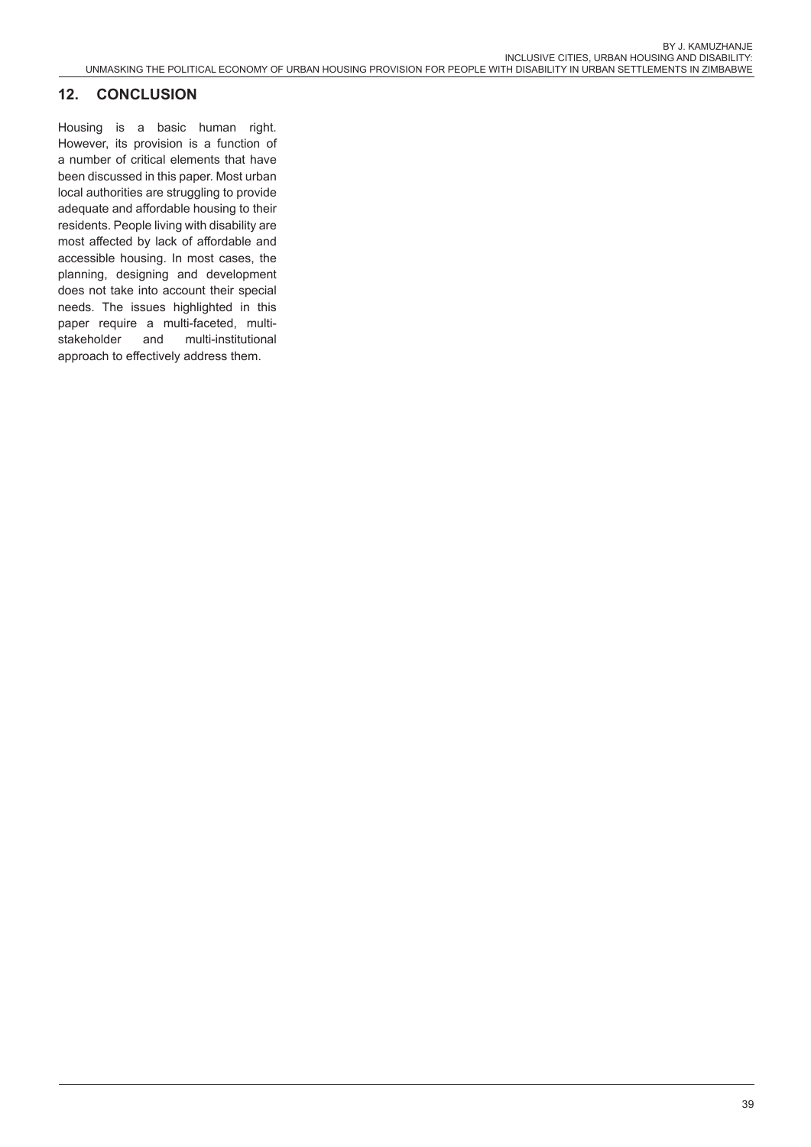# **12. CONCLUSION**

Housing is a basic human right. However, its provision is a function of a number of critical elements that have been discussed in this paper. Most urban local authorities are struggling to provide adequate and affordable housing to their residents. People living with disability are most affected by lack of affordable and accessible housing. In most cases, the planning, designing and development does not take into account their special needs. The issues highlighted in this paper require a multi-faceted, multistakeholder and multi-institutional approach to effectively address them.